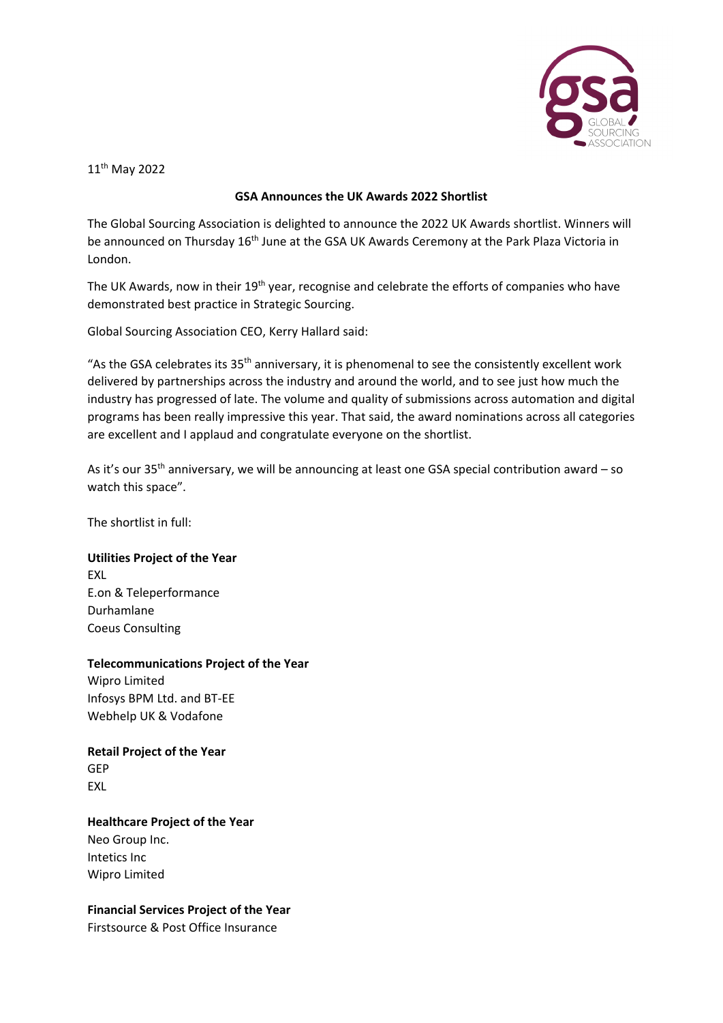

11th May 2022

## **GSA Announces the UK Awards 2022 Shortlist**

The Global Sourcing Association is delighted to announce the 2022 UK Awards shortlist. Winners will be announced on Thursday 16<sup>th</sup> June at the GSA UK Awards Ceremony at the Park Plaza Victoria in London.

The UK Awards, now in their 19<sup>th</sup> year, recognise and celebrate the efforts of companies who have demonstrated best practice in Strategic Sourcing.

Global Sourcing Association CEO, Kerry Hallard said:

"As the GSA celebrates its  $35<sup>th</sup>$  anniversary, it is phenomenal to see the consistently excellent work delivered by partnerships across the industry and around the world, and to see just how much the industry has progressed of late. The volume and quality of submissions across automation and digital programs has been really impressive this year. That said, the award nominations across all categories are excellent and I applaud and congratulate everyone on the shortlist.

As it's our  $35<sup>th</sup>$  anniversary, we will be announcing at least one GSA special contribution award – so watch this space".

The shortlist in full:

# **Utilities Project of the Year**

EXL E.on & Teleperformance Durhamlane Coeus Consulting

## **Telecommunications Project of the Year**

Wipro Limited Infosys BPM Ltd. and BT-EE Webhelp UK & Vodafone

**Retail Project of the Year** GEP EXL

**Healthcare Project of the Year** Neo Group Inc. Intetics Inc Wipro Limited

**Financial Services Project of the Year** Firstsource & Post Office Insurance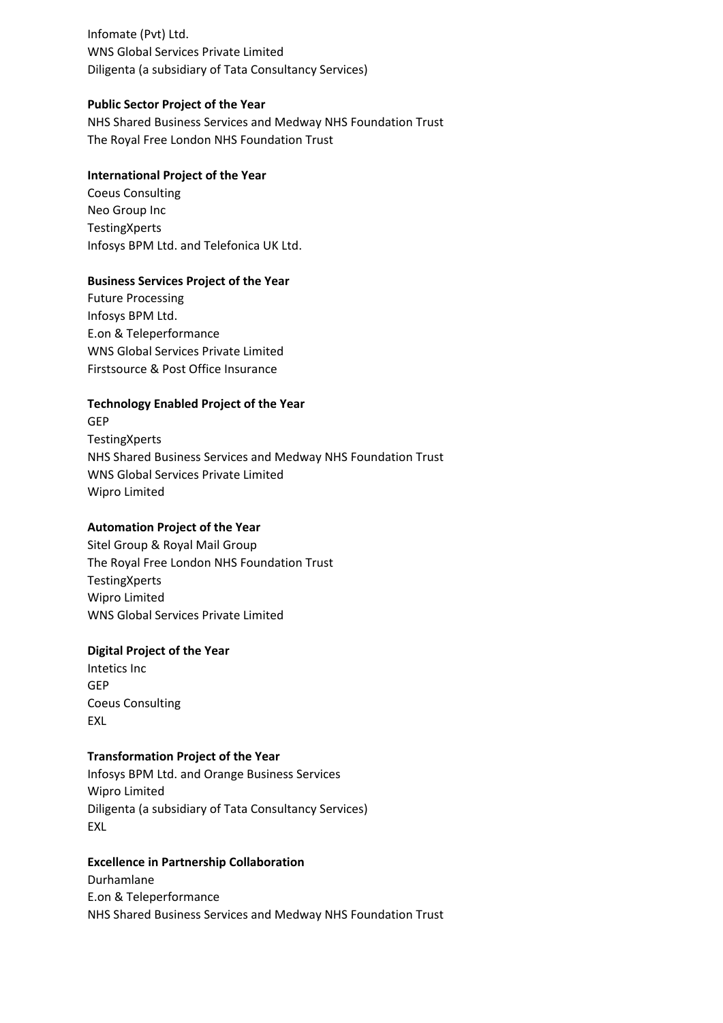Infomate (Pvt) Ltd. WNS Global Services Private Limited Diligenta (a subsidiary of Tata Consultancy Services)

## **Public Sector Project of the Year**

NHS Shared Business Services and Medway NHS Foundation Trust The Royal Free London NHS Foundation Trust

## **International Project of the Year**

Coeus Consulting Neo Group Inc **TestingXperts** Infosys BPM Ltd. and Telefonica UK Ltd.

## **Business Services Project of the Year**

Future Processing Infosys BPM Ltd. E.on & Teleperformance WNS Global Services Private Limited Firstsource & Post Office Insurance

# **Technology Enabled Project of the Year**

GEP **TestingXperts** NHS Shared Business Services and Medway NHS Foundation Trust WNS Global Services Private Limited Wipro Limited

## **Automation Project of the Year**

Sitel Group & Royal Mail Group The Royal Free London NHS Foundation Trust **TestingXperts** Wipro Limited WNS Global Services Private Limited

## **Digital Project of the Year**

Intetics Inc GEP Coeus Consulting EXL

## **Transformation Project of the Year**

Infosys BPM Ltd. and Orange Business Services Wipro Limited Diligenta (a subsidiary of Tata Consultancy Services) EXL

## **Excellence in Partnership Collaboration**

Durhamlane E.on & Teleperformance NHS Shared Business Services and Medway NHS Foundation Trust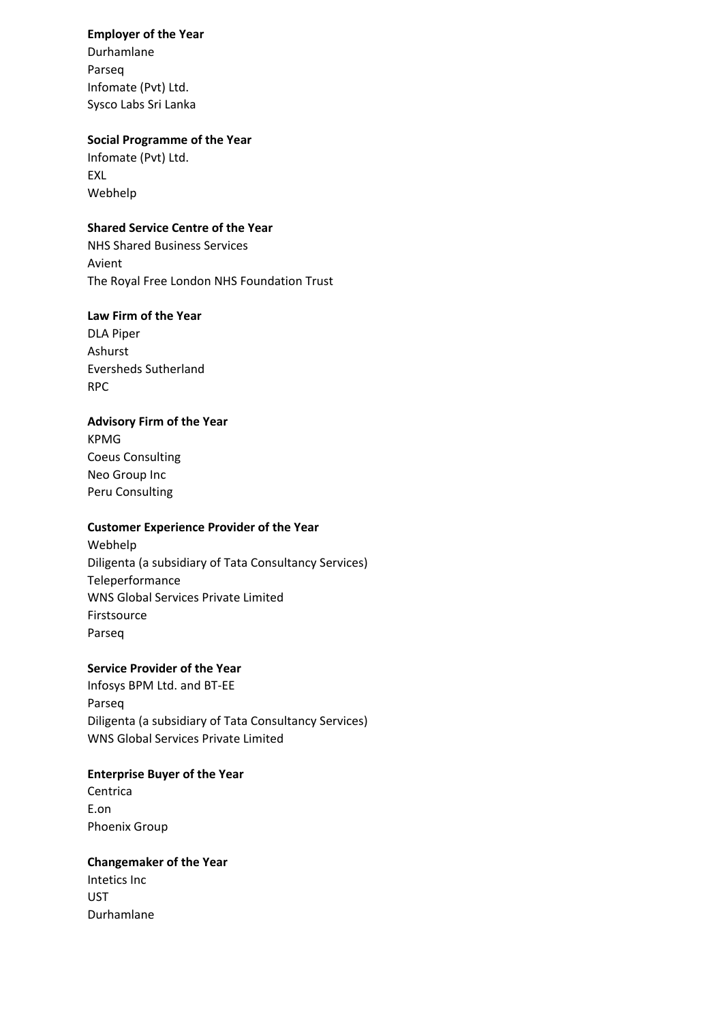#### **Employer of the Year**

Durhamlane Parseq Infomate (Pvt) Ltd. Sysco Labs Sri Lanka

## **Social Programme of the Year**

Infomate (Pvt) Ltd. EXL Webhelp

## **Shared Service Centre of the Year**

NHS Shared Business Services Avient The Royal Free London NHS Foundation Trust

# **Law Firm of the Year**

DLA Piper Ashurst Eversheds Sutherland RPC

# **Advisory Firm of the Year**

KPMG Coeus Consulting Neo Group Inc Peru Consulting

# **Customer Experience Provider of the Year**

Webhelp Diligenta (a subsidiary of Tata Consultancy Services) Teleperformance WNS Global Services Private Limited Firstsource Parseq

# **Service Provider of the Year**

Infosys BPM Ltd. and BT-EE Parseq Diligenta (a subsidiary of Tata Consultancy Services) WNS Global Services Private Limited

## **Enterprise Buyer of the Year**

**Centrica** E.on Phoenix Group

## **Changemaker of the Year**

Intetics Inc UST Durhamlane